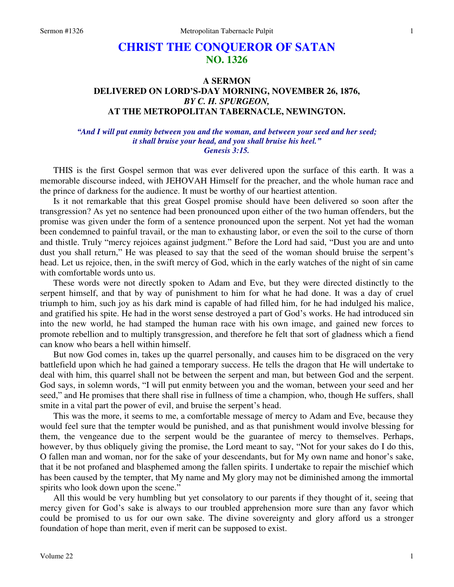# **CHRIST THE CONQUEROR OF SATAN NO. 1326**

## **A SERMON DELIVERED ON LORD'S-DAY MORNING, NOVEMBER 26, 1876,**  *BY C. H. SPURGEON,*  **AT THE METROPOLITAN TABERNACLE, NEWINGTON.**

### *"And I will put enmity between you and the woman, and between your seed and her seed; it shall bruise your head, and you shall bruise his heel." Genesis 3:15.*

THIS is the first Gospel sermon that was ever delivered upon the surface of this earth. It was a memorable discourse indeed, with JEHOVAH Himself for the preacher, and the whole human race and the prince of darkness for the audience. It must be worthy of our heartiest attention.

 Is it not remarkable that this great Gospel promise should have been delivered so soon after the transgression? As yet no sentence had been pronounced upon either of the two human offenders, but the promise was given under the form of a sentence pronounced upon the serpent. Not yet had the woman been condemned to painful travail, or the man to exhausting labor, or even the soil to the curse of thorn and thistle. Truly "mercy rejoices against judgment." Before the Lord had said, "Dust you are and unto dust you shall return," He was pleased to say that the seed of the woman should bruise the serpent's head. Let us rejoice, then, in the swift mercy of God, which in the early watches of the night of sin came with comfortable words unto us.

 These words were not directly spoken to Adam and Eve, but they were directed distinctly to the serpent himself, and that by way of punishment to him for what he had done. It was a day of cruel triumph to him, such joy as his dark mind is capable of had filled him, for he had indulged his malice, and gratified his spite. He had in the worst sense destroyed a part of God's works. He had introduced sin into the new world, he had stamped the human race with his own image, and gained new forces to promote rebellion and to multiply transgression, and therefore he felt that sort of gladness which a fiend can know who bears a hell within himself.

 But now God comes in, takes up the quarrel personally, and causes him to be disgraced on the very battlefield upon which he had gained a temporary success. He tells the dragon that He will undertake to deal with him, this quarrel shall not be between the serpent and man, but between God and the serpent. God says, in solemn words, "I will put enmity between you and the woman, between your seed and her seed," and He promises that there shall rise in fullness of time a champion, who, though He suffers, shall smite in a vital part the power of evil, and bruise the serpent's head.

 This was the more, it seems to me, a comfortable message of mercy to Adam and Eve, because they would feel sure that the tempter would be punished, and as that punishment would involve blessing for them, the vengeance due to the serpent would be the guarantee of mercy to themselves. Perhaps, however, by thus obliquely giving the promise, the Lord meant to say, "Not for your sakes do I do this, O fallen man and woman, nor for the sake of your descendants, but for My own name and honor's sake, that it be not profaned and blasphemed among the fallen spirits. I undertake to repair the mischief which has been caused by the tempter, that My name and My glory may not be diminished among the immortal spirits who look down upon the scene."

 All this would be very humbling but yet consolatory to our parents if they thought of it, seeing that mercy given for God's sake is always to our troubled apprehension more sure than any favor which could be promised to us for our own sake. The divine sovereignty and glory afford us a stronger foundation of hope than merit, even if merit can be supposed to exist.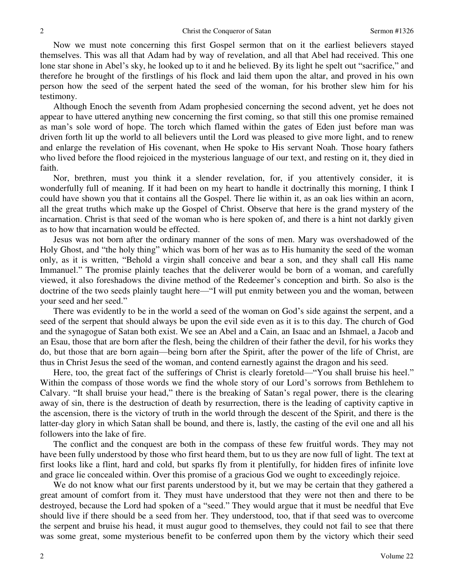Now we must note concerning this first Gospel sermon that on it the earliest believers stayed themselves. This was all that Adam had by way of revelation, and all that Abel had received. This one lone star shone in Abel's sky, he looked up to it and he believed. By its light he spelt out "sacrifice," and therefore he brought of the firstlings of his flock and laid them upon the altar, and proved in his own person how the seed of the serpent hated the seed of the woman, for his brother slew him for his testimony.

 Although Enoch the seventh from Adam prophesied concerning the second advent, yet he does not appear to have uttered anything new concerning the first coming, so that still this one promise remained as man's sole word of hope. The torch which flamed within the gates of Eden just before man was driven forth lit up the world to all believers until the Lord was pleased to give more light, and to renew and enlarge the revelation of His covenant, when He spoke to His servant Noah. Those hoary fathers who lived before the flood rejoiced in the mysterious language of our text, and resting on it, they died in faith.

 Nor, brethren, must you think it a slender revelation, for, if you attentively consider, it is wonderfully full of meaning. If it had been on my heart to handle it doctrinally this morning, I think I could have shown you that it contains all the Gospel. There lie within it, as an oak lies within an acorn, all the great truths which make up the Gospel of Christ. Observe that here is the grand mystery of the incarnation. Christ is that seed of the woman who is here spoken of, and there is a hint not darkly given as to how that incarnation would be effected.

 Jesus was not born after the ordinary manner of the sons of men. Mary was overshadowed of the Holy Ghost, and "the holy thing" which was born of her was as to His humanity the seed of the woman only, as it is written, "Behold a virgin shall conceive and bear a son, and they shall call His name Immanuel." The promise plainly teaches that the deliverer would be born of a woman, and carefully viewed, it also foreshadows the divine method of the Redeemer's conception and birth. So also is the doctrine of the two seeds plainly taught here—"I will put enmity between you and the woman, between your seed and her seed."

 There was evidently to be in the world a seed of the woman on God's side against the serpent, and a seed of the serpent that should always be upon the evil side even as it is to this day. The church of God and the synagogue of Satan both exist. We see an Abel and a Cain, an Isaac and an Ishmael, a Jacob and an Esau, those that are born after the flesh, being the children of their father the devil, for his works they do, but those that are born again—being born after the Spirit, after the power of the life of Christ, are thus in Christ Jesus the seed of the woman, and contend earnestly against the dragon and his seed.

 Here, too, the great fact of the sufferings of Christ is clearly foretold—"You shall bruise his heel." Within the compass of those words we find the whole story of our Lord's sorrows from Bethlehem to Calvary. "It shall bruise your head," there is the breaking of Satan's regal power, there is the clearing away of sin, there is the destruction of death by resurrection, there is the leading of captivity captive in the ascension, there is the victory of truth in the world through the descent of the Spirit, and there is the latter-day glory in which Satan shall be bound, and there is, lastly, the casting of the evil one and all his followers into the lake of fire.

 The conflict and the conquest are both in the compass of these few fruitful words. They may not have been fully understood by those who first heard them, but to us they are now full of light. The text at first looks like a flint, hard and cold, but sparks fly from it plentifully, for hidden fires of infinite love and grace lie concealed within. Over this promise of a gracious God we ought to exceedingly rejoice.

 We do not know what our first parents understood by it, but we may be certain that they gathered a great amount of comfort from it. They must have understood that they were not then and there to be destroyed, because the Lord had spoken of a "seed." They would argue that it must be needful that Eve should live if there should be a seed from her. They understood, too, that if that seed was to overcome the serpent and bruise his head, it must augur good to themselves, they could not fail to see that there was some great, some mysterious benefit to be conferred upon them by the victory which their seed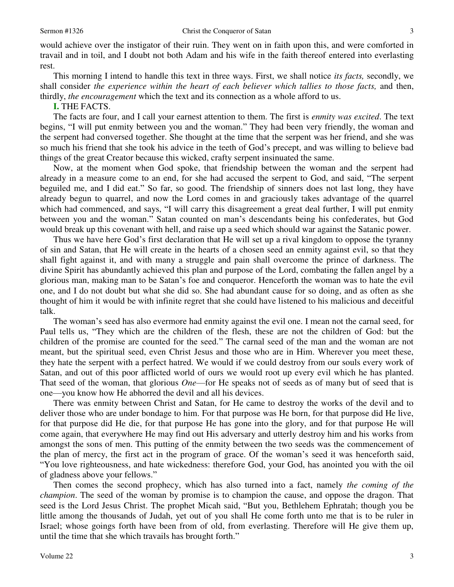would achieve over the instigator of their ruin. They went on in faith upon this, and were comforted in travail and in toil, and I doubt not both Adam and his wife in the faith thereof entered into everlasting rest.

 This morning I intend to handle this text in three ways. First, we shall notice *its facts,* secondly, we shall consider *the experience within the heart of each believer which tallies to those facts,* and then, thirdly, *the encouragement* which the text and its connection as a whole afford to us.

#### **I.** THE FACTS.

 The facts are four, and I call your earnest attention to them. The first is *enmity was excited*. The text begins, "I will put enmity between you and the woman." They had been very friendly, the woman and the serpent had conversed together. She thought at the time that the serpent was her friend, and she was so much his friend that she took his advice in the teeth of God's precept, and was willing to believe bad things of the great Creator because this wicked, crafty serpent insinuated the same.

 Now, at the moment when God spoke, that friendship between the woman and the serpent had already in a measure come to an end, for she had accused the serpent to God, and said, "The serpent beguiled me, and I did eat." So far, so good. The friendship of sinners does not last long, they have already begun to quarrel, and now the Lord comes in and graciously takes advantage of the quarrel which had commenced, and says, "I will carry this disagreement a great deal further, I will put enmity between you and the woman." Satan counted on man's descendants being his confederates, but God would break up this covenant with hell, and raise up a seed which should war against the Satanic power.

 Thus we have here God's first declaration that He will set up a rival kingdom to oppose the tyranny of sin and Satan, that He will create in the hearts of a chosen seed an enmity against evil, so that they shall fight against it, and with many a struggle and pain shall overcome the prince of darkness. The divine Spirit has abundantly achieved this plan and purpose of the Lord, combating the fallen angel by a glorious man, making man to be Satan's foe and conqueror. Henceforth the woman was to hate the evil one, and I do not doubt but what she did so. She had abundant cause for so doing, and as often as she thought of him it would be with infinite regret that she could have listened to his malicious and deceitful talk.

 The woman's seed has also evermore had enmity against the evil one. I mean not the carnal seed, for Paul tells us, "They which are the children of the flesh, these are not the children of God: but the children of the promise are counted for the seed." The carnal seed of the man and the woman are not meant, but the spiritual seed, even Christ Jesus and those who are in Him. Wherever you meet these, they hate the serpent with a perfect hatred. We would if we could destroy from our souls every work of Satan, and out of this poor afflicted world of ours we would root up every evil which he has planted. That seed of the woman, that glorious *One*—for He speaks not of seeds as of many but of seed that is one—you know how He abhorred the devil and all his devices.

 There was enmity between Christ and Satan, for He came to destroy the works of the devil and to deliver those who are under bondage to him. For that purpose was He born, for that purpose did He live, for that purpose did He die, for that purpose He has gone into the glory, and for that purpose He will come again, that everywhere He may find out His adversary and utterly destroy him and his works from amongst the sons of men. This putting of the enmity between the two seeds was the commencement of the plan of mercy, the first act in the program of grace. Of the woman's seed it was henceforth said, "You love righteousness, and hate wickedness: therefore God, your God, has anointed you with the oil of gladness above your fellows."

 Then comes the second prophecy, which has also turned into a fact, namely *the coming of the champion*. The seed of the woman by promise is to champion the cause, and oppose the dragon. That seed is the Lord Jesus Christ. The prophet Micah said, "But you, Bethlehem Ephratah; though you be little among the thousands of Judah, yet out of you shall He come forth unto me that is to be ruler in Israel; whose goings forth have been from of old, from everlasting. Therefore will He give them up, until the time that she which travails has brought forth."

3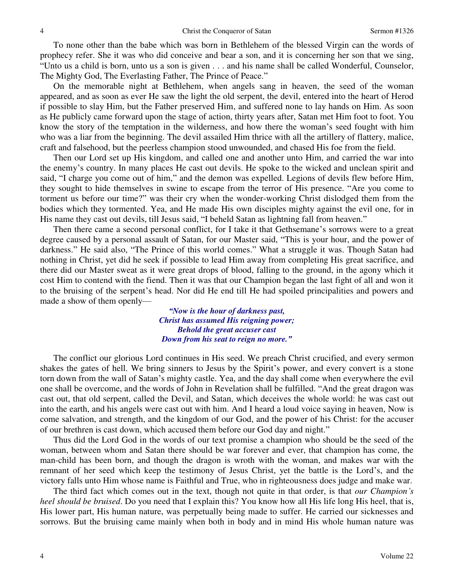To none other than the babe which was born in Bethlehem of the blessed Virgin can the words of prophecy refer. She it was who did conceive and bear a son, and it is concerning her son that we sing, "Unto us a child is born, unto us a son is given . . . and his name shall be called Wonderful, Counselor, The Mighty God, The Everlasting Father, The Prince of Peace."

 On the memorable night at Bethlehem, when angels sang in heaven, the seed of the woman appeared, and as soon as ever He saw the light the old serpent, the devil, entered into the heart of Herod if possible to slay Him, but the Father preserved Him, and suffered none to lay hands on Him. As soon as He publicly came forward upon the stage of action, thirty years after, Satan met Him foot to foot. You know the story of the temptation in the wilderness, and how there the woman's seed fought with him who was a liar from the beginning. The devil assailed Him thrice with all the artillery of flattery, malice, craft and falsehood, but the peerless champion stood unwounded, and chased His foe from the field.

 Then our Lord set up His kingdom, and called one and another unto Him, and carried the war into the enemy's country. In many places He cast out devils. He spoke to the wicked and unclean spirit and said, "I charge you come out of him," and the demon was expelled. Legions of devils flew before Him, they sought to hide themselves in swine to escape from the terror of His presence. "Are you come to torment us before our time?" was their cry when the wonder-working Christ dislodged them from the bodies which they tormented. Yea, and He made His own disciples mighty against the evil one, for in His name they cast out devils, till Jesus said, "I beheld Satan as lightning fall from heaven."

 Then there came a second personal conflict, for I take it that Gethsemane's sorrows were to a great degree caused by a personal assault of Satan, for our Master said, "This is your hour, and the power of darkness." He said also, "The Prince of this world comes." What a struggle it was. Though Satan had nothing in Christ, yet did he seek if possible to lead Him away from completing His great sacrifice, and there did our Master sweat as it were great drops of blood, falling to the ground, in the agony which it cost Him to contend with the fiend. Then it was that our Champion began the last fight of all and won it to the bruising of the serpent's head. Nor did He end till He had spoiled principalities and powers and made a show of them openly—

> *"Now is the hour of darkness past, Christ has assumed His reigning power; Behold the great accuser cast Down from his seat to reign no more."*

 The conflict our glorious Lord continues in His seed. We preach Christ crucified, and every sermon shakes the gates of hell. We bring sinners to Jesus by the Spirit's power, and every convert is a stone torn down from the wall of Satan's mighty castle. Yea, and the day shall come when everywhere the evil one shall be overcome, and the words of John in Revelation shall be fulfilled. "And the great dragon was cast out, that old serpent, called the Devil, and Satan, which deceives the whole world: he was cast out into the earth, and his angels were cast out with him. And I heard a loud voice saying in heaven, Now is come salvation, and strength, and the kingdom of our God, and the power of his Christ: for the accuser of our brethren is cast down, which accused them before our God day and night."

 Thus did the Lord God in the words of our text promise a champion who should be the seed of the woman, between whom and Satan there should be war forever and ever, that champion has come, the man-child has been born, and though the dragon is wroth with the woman, and makes war with the remnant of her seed which keep the testimony of Jesus Christ, yet the battle is the Lord's, and the victory falls unto Him whose name is Faithful and True, who in righteousness does judge and make war.

 The third fact which comes out in the text, though not quite in that order, is that *our Champion's heel should be bruised*. Do you need that I explain this? You know how all His life long His heel, that is, His lower part, His human nature, was perpetually being made to suffer. He carried our sicknesses and sorrows. But the bruising came mainly when both in body and in mind His whole human nature was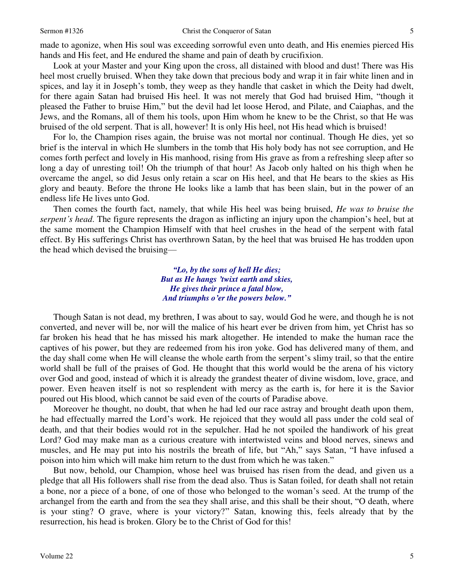5

made to agonize, when His soul was exceeding sorrowful even unto death, and His enemies pierced His hands and His feet, and He endured the shame and pain of death by crucifixion.

 Look at your Master and your King upon the cross, all distained with blood and dust! There was His heel most cruelly bruised. When they take down that precious body and wrap it in fair white linen and in spices, and lay it in Joseph's tomb, they weep as they handle that casket in which the Deity had dwelt, for there again Satan had bruised His heel. It was not merely that God had bruised Him, "though it pleased the Father to bruise Him," but the devil had let loose Herod, and Pilate, and Caiaphas, and the Jews, and the Romans, all of them his tools, upon Him whom he knew to be the Christ, so that He was bruised of the old serpent. That is all, however! It is only His heel, not His head which is bruised!

 For lo, the Champion rises again, the bruise was not mortal nor continual. Though He dies, yet so brief is the interval in which He slumbers in the tomb that His holy body has not see corruption, and He comes forth perfect and lovely in His manhood, rising from His grave as from a refreshing sleep after so long a day of unresting toil! Oh the triumph of that hour! As Jacob only halted on his thigh when he overcame the angel, so did Jesus only retain a scar on His heel, and that He bears to the skies as His glory and beauty. Before the throne He looks like a lamb that has been slain, but in the power of an endless life He lives unto God.

 Then comes the fourth fact, namely, that while His heel was being bruised, *He was to bruise the serpent's head*. The figure represents the dragon as inflicting an injury upon the champion's heel, but at the same moment the Champion Himself with that heel crushes in the head of the serpent with fatal effect. By His sufferings Christ has overthrown Satan, by the heel that was bruised He has trodden upon the head which devised the bruising—

> *"Lo, by the sons of hell He dies; But as He hangs 'twixt earth and skies, He gives their prince a fatal blow, And triumphs o'er the powers below."*

 Though Satan is not dead, my brethren, I was about to say, would God he were, and though he is not converted, and never will be, nor will the malice of his heart ever be driven from him, yet Christ has so far broken his head that he has missed his mark altogether. He intended to make the human race the captives of his power, but they are redeemed from his iron yoke. God has delivered many of them, and the day shall come when He will cleanse the whole earth from the serpent's slimy trail, so that the entire world shall be full of the praises of God. He thought that this world would be the arena of his victory over God and good, instead of which it is already the grandest theater of divine wisdom, love, grace, and power. Even heaven itself is not so resplendent with mercy as the earth is, for here it is the Savior poured out His blood, which cannot be said even of the courts of Paradise above.

 Moreover he thought, no doubt, that when he had led our race astray and brought death upon them, he had effectually marred the Lord's work. He rejoiced that they would all pass under the cold seal of death, and that their bodies would rot in the sepulcher. Had he not spoiled the handiwork of his great Lord? God may make man as a curious creature with intertwisted veins and blood nerves, sinews and muscles, and He may put into his nostrils the breath of life, but "Ah," says Satan, "I have infused a poison into him which will make him return to the dust from which he was taken."

 But now, behold, our Champion, whose heel was bruised has risen from the dead, and given us a pledge that all His followers shall rise from the dead also. Thus is Satan foiled, for death shall not retain a bone, nor a piece of a bone, of one of those who belonged to the woman's seed. At the trump of the archangel from the earth and from the sea they shall arise, and this shall be their shout, "O death, where is your sting? O grave, where is your victory?" Satan, knowing this, feels already that by the resurrection, his head is broken. Glory be to the Christ of God for this!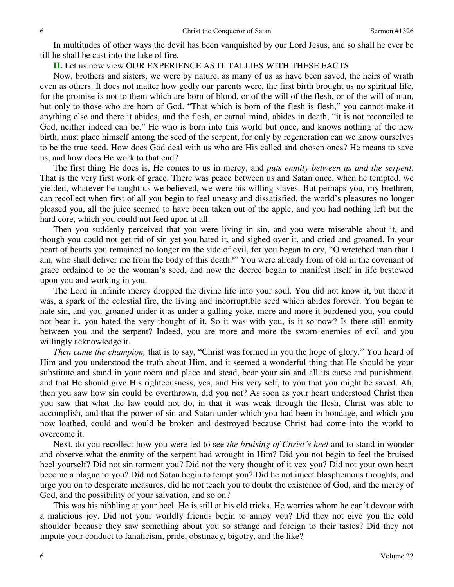In multitudes of other ways the devil has been vanquished by our Lord Jesus, and so shall he ever be till he shall be cast into the lake of fire.

**II.** Let us now view OUR EXPERIENCE AS IT TALLIES WITH THESE FACTS.

 Now, brothers and sisters, we were by nature, as many of us as have been saved, the heirs of wrath even as others. It does not matter how godly our parents were, the first birth brought us no spiritual life, for the promise is not to them which are born of blood, or of the will of the flesh, or of the will of man, but only to those who are born of God. "That which is born of the flesh is flesh," you cannot make it anything else and there it abides, and the flesh, or carnal mind, abides in death, "it is not reconciled to God, neither indeed can be." He who is born into this world but once, and knows nothing of the new birth, must place himself among the seed of the serpent, for only by regeneration can we know ourselves to be the true seed. How does God deal with us who are His called and chosen ones? He means to save us, and how does He work to that end?

 The first thing He does is, He comes to us in mercy, and *puts enmity between us and the serpent*. That is the very first work of grace. There was peace between us and Satan once, when he tempted, we yielded, whatever he taught us we believed, we were his willing slaves. But perhaps you, my brethren, can recollect when first of all you begin to feel uneasy and dissatisfied, the world's pleasures no longer pleased you, all the juice seemed to have been taken out of the apple, and you had nothing left but the hard core, which you could not feed upon at all.

 Then you suddenly perceived that you were living in sin, and you were miserable about it, and though you could not get rid of sin yet you hated it, and sighed over it, and cried and groaned. In your heart of hearts you remained no longer on the side of evil, for you began to cry, "O wretched man that I am, who shall deliver me from the body of this death?" You were already from of old in the covenant of grace ordained to be the woman's seed, and now the decree began to manifest itself in life bestowed upon you and working in you.

 The Lord in infinite mercy dropped the divine life into your soul. You did not know it, but there it was, a spark of the celestial fire, the living and incorruptible seed which abides forever. You began to hate sin, and you groaned under it as under a galling yoke, more and more it burdened you, you could not bear it, you hated the very thought of it. So it was with you, is it so now? Is there still enmity between you and the serpent? Indeed, you are more and more the sworn enemies of evil and you willingly acknowledge it.

*Then came the champion,* that is to say, "Christ was formed in you the hope of glory." You heard of Him and you understood the truth about Him, and it seemed a wonderful thing that He should be your substitute and stand in your room and place and stead, bear your sin and all its curse and punishment, and that He should give His righteousness, yea, and His very self, to you that you might be saved. Ah, then you saw how sin could be overthrown, did you not? As soon as your heart understood Christ then you saw that what the law could not do, in that it was weak through the flesh, Christ was able to accomplish, and that the power of sin and Satan under which you had been in bondage, and which you now loathed, could and would be broken and destroyed because Christ had come into the world to overcome it.

 Next, do you recollect how you were led to see *the bruising of Christ's heel* and to stand in wonder and observe what the enmity of the serpent had wrought in Him? Did you not begin to feel the bruised heel yourself? Did not sin torment you? Did not the very thought of it vex you? Did not your own heart become a plague to you? Did not Satan begin to tempt you? Did he not inject blasphemous thoughts, and urge you on to desperate measures, did he not teach you to doubt the existence of God, and the mercy of God, and the possibility of your salvation, and so on?

 This was his nibbling at your heel. He is still at his old tricks. He worries whom he can't devour with a malicious joy. Did not your worldly friends begin to annoy you? Did they not give you the cold shoulder because they saw something about you so strange and foreign to their tastes? Did they not impute your conduct to fanaticism, pride, obstinacy, bigotry, and the like?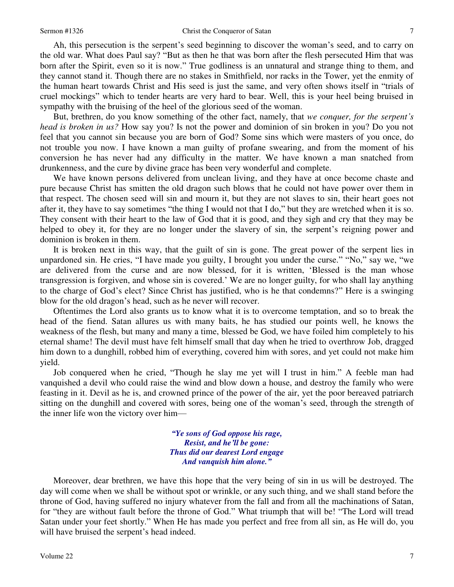Ah, this persecution is the serpent's seed beginning to discover the woman's seed, and to carry on the old war. What does Paul say? "But as then he that was born after the flesh persecuted Him that was born after the Spirit, even so it is now." True godliness is an unnatural and strange thing to them, and they cannot stand it. Though there are no stakes in Smithfield, nor racks in the Tower, yet the enmity of the human heart towards Christ and His seed is just the same, and very often shows itself in "trials of cruel mockings" which to tender hearts are very hard to bear. Well, this is your heel being bruised in sympathy with the bruising of the heel of the glorious seed of the woman.

 But, brethren, do you know something of the other fact, namely, that *we conquer, for the serpent's head is broken in us?* How say you? Is not the power and dominion of sin broken in you? Do you not feel that you cannot sin because you are born of God? Some sins which were masters of you once, do not trouble you now. I have known a man guilty of profane swearing, and from the moment of his conversion he has never had any difficulty in the matter. We have known a man snatched from drunkenness, and the cure by divine grace has been very wonderful and complete.

 We have known persons delivered from unclean living, and they have at once become chaste and pure because Christ has smitten the old dragon such blows that he could not have power over them in that respect. The chosen seed will sin and mourn it, but they are not slaves to sin, their heart goes not after it, they have to say sometimes "the thing I would not that I do," but they are wretched when it is so. They consent with their heart to the law of God that it is good, and they sigh and cry that they may be helped to obey it, for they are no longer under the slavery of sin, the serpent's reigning power and dominion is broken in them.

 It is broken next in this way, that the guilt of sin is gone. The great power of the serpent lies in unpardoned sin. He cries, "I have made you guilty, I brought you under the curse." "No," say we, "we are delivered from the curse and are now blessed, for it is written, 'Blessed is the man whose transgression is forgiven, and whose sin is covered.' We are no longer guilty, for who shall lay anything to the charge of God's elect? Since Christ has justified, who is he that condemns?" Here is a swinging blow for the old dragon's head, such as he never will recover.

 Oftentimes the Lord also grants us to know what it is to overcome temptation, and so to break the head of the fiend. Satan allures us with many baits, he has studied our points well, he knows the weakness of the flesh, but many and many a time, blessed be God, we have foiled him completely to his eternal shame! The devil must have felt himself small that day when he tried to overthrow Job, dragged him down to a dunghill, robbed him of everything, covered him with sores, and yet could not make him yield.

 Job conquered when he cried, "Though he slay me yet will I trust in him." A feeble man had vanquished a devil who could raise the wind and blow down a house, and destroy the family who were feasting in it. Devil as he is, and crowned prince of the power of the air, yet the poor bereaved patriarch sitting on the dunghill and covered with sores, being one of the woman's seed, through the strength of the inner life won the victory over him—

> *"Ye sons of God oppose his rage, Resist, and he'll be gone: Thus did our dearest Lord engage And vanquish him alone."*

 Moreover, dear brethren, we have this hope that the very being of sin in us will be destroyed. The day will come when we shall be without spot or wrinkle, or any such thing, and we shall stand before the throne of God, having suffered no injury whatever from the fall and from all the machinations of Satan, for "they are without fault before the throne of God." What triumph that will be! "The Lord will tread Satan under your feet shortly." When He has made you perfect and free from all sin, as He will do, you will have bruised the serpent's head indeed.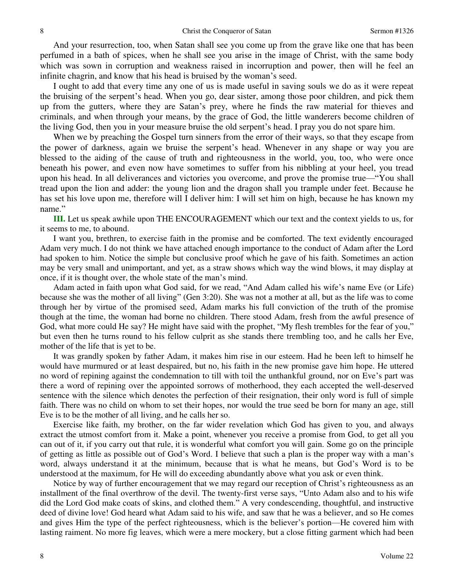And your resurrection, too, when Satan shall see you come up from the grave like one that has been perfumed in a bath of spices, when he shall see you arise in the image of Christ, with the same body which was sown in corruption and weakness raised in incorruption and power, then will he feel an infinite chagrin, and know that his head is bruised by the woman's seed.

 I ought to add that every time any one of us is made useful in saving souls we do as it were repeat the bruising of the serpent's head. When you go, dear sister, among those poor children, and pick them up from the gutters, where they are Satan's prey, where he finds the raw material for thieves and criminals, and when through your means, by the grace of God, the little wanderers become children of the living God, then you in your measure bruise the old serpent's head. I pray you do not spare him.

When we by preaching the Gospel turn sinners from the error of their ways, so that they escape from the power of darkness, again we bruise the serpent's head. Whenever in any shape or way you are blessed to the aiding of the cause of truth and righteousness in the world, you, too, who were once beneath his power, and even now have sometimes to suffer from his nibbling at your heel, you tread upon his head. In all deliverances and victories you overcome, and prove the promise true—"You shall tread upon the lion and adder: the young lion and the dragon shall you trample under feet. Because he has set his love upon me, therefore will I deliver him: I will set him on high, because he has known my name."

**III.** Let us speak awhile upon THE ENCOURAGEMENT which our text and the context yields to us, for it seems to me, to abound.

 I want you, brethren, to exercise faith in the promise and be comforted. The text evidently encouraged Adam very much. I do not think we have attached enough importance to the conduct of Adam after the Lord had spoken to him. Notice the simple but conclusive proof which he gave of his faith. Sometimes an action may be very small and unimportant, and yet, as a straw shows which way the wind blows, it may display at once, if it is thought over, the whole state of the man's mind.

 Adam acted in faith upon what God said, for we read, "And Adam called his wife's name Eve (or Life) because she was the mother of all living" (Gen 3:20). She was not a mother at all, but as the life was to come through her by virtue of the promised seed, Adam marks his full conviction of the truth of the promise though at the time, the woman had borne no children. There stood Adam, fresh from the awful presence of God, what more could He say? He might have said with the prophet, "My flesh trembles for the fear of you," but even then he turns round to his fellow culprit as she stands there trembling too, and he calls her Eve, mother of the life that is yet to be.

 It was grandly spoken by father Adam, it makes him rise in our esteem. Had he been left to himself he would have murmured or at least despaired, but no, his faith in the new promise gave him hope. He uttered no word of repining against the condemnation to till with toil the unthankful ground, nor on Eve's part was there a word of repining over the appointed sorrows of motherhood, they each accepted the well-deserved sentence with the silence which denotes the perfection of their resignation, their only word is full of simple faith. There was no child on whom to set their hopes, nor would the true seed be born for many an age, still Eve is to be the mother of all living, and he calls her so.

 Exercise like faith, my brother, on the far wider revelation which God has given to you, and always extract the utmost comfort from it. Make a point, whenever you receive a promise from God, to get all you can out of it, if you carry out that rule, it is wonderful what comfort you will gain. Some go on the principle of getting as little as possible out of God's Word. I believe that such a plan is the proper way with a man's word, always understand it at the minimum, because that is what he means, but God's Word is to be understood at the maximum, for He will do exceeding abundantly above what you ask or even think.

 Notice by way of further encouragement that we may regard our reception of Christ's righteousness as an installment of the final overthrow of the devil. The twenty-first verse says, "Unto Adam also and to his wife did the Lord God make coats of skins, and clothed them." A very condescending, thoughtful, and instructive deed of divine love! God heard what Adam said to his wife, and saw that he was a believer, and so He comes and gives Him the type of the perfect righteousness, which is the believer's portion—He covered him with lasting raiment. No more fig leaves, which were a mere mockery, but a close fitting garment which had been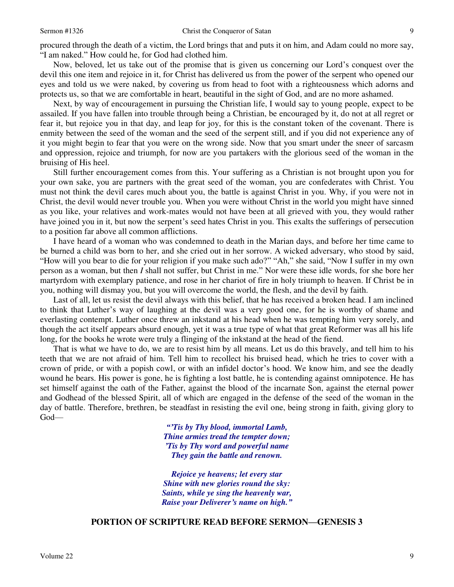procured through the death of a victim, the Lord brings that and puts it on him, and Adam could no more say, "I am naked." How could he, for God had clothed him.

 Now, beloved, let us take out of the promise that is given us concerning our Lord's conquest over the devil this one item and rejoice in it, for Christ has delivered us from the power of the serpent who opened our eyes and told us we were naked, by covering us from head to foot with a righteousness which adorns and protects us, so that we are comfortable in heart, beautiful in the sight of God, and are no more ashamed.

 Next, by way of encouragement in pursuing the Christian life, I would say to young people, expect to be assailed. If you have fallen into trouble through being a Christian, be encouraged by it, do not at all regret or fear it, but rejoice you in that day, and leap for joy, for this is the constant token of the covenant. There is enmity between the seed of the woman and the seed of the serpent still, and if you did not experience any of it you might begin to fear that you were on the wrong side. Now that you smart under the sneer of sarcasm and oppression, rejoice and triumph, for now are you partakers with the glorious seed of the woman in the bruising of His heel.

 Still further encouragement comes from this. Your suffering as a Christian is not brought upon you for your own sake, you are partners with the great seed of the woman, you are confederates with Christ. You must not think the devil cares much about you, the battle is against Christ in you. Why, if you were not in Christ, the devil would never trouble you. When you were without Christ in the world you might have sinned as you like, your relatives and work-mates would not have been at all grieved with you, they would rather have joined you in it, but now the serpent's seed hates Christ in you. This exalts the sufferings of persecution to a position far above all common afflictions.

 I have heard of a woman who was condemned to death in the Marian days, and before her time came to be burned a child was born to her, and she cried out in her sorrow. A wicked adversary, who stood by said, "How will you bear to die for your religion if you make such ado?" "Ah," she said, "Now I suffer in my own person as a woman, but then *I* shall not suffer, but Christ in me." Nor were these idle words, for she bore her martyrdom with exemplary patience, and rose in her chariot of fire in holy triumph to heaven. If Christ be in you, nothing will dismay you, but you will overcome the world, the flesh, and the devil by faith.

 Last of all, let us resist the devil always with this belief, that he has received a broken head. I am inclined to think that Luther's way of laughing at the devil was a very good one, for he is worthy of shame and everlasting contempt. Luther once threw an inkstand at his head when he was tempting him very sorely, and though the act itself appears absurd enough, yet it was a true type of what that great Reformer was all his life long, for the books he wrote were truly a flinging of the inkstand at the head of the fiend.

 That is what we have to do, we are to resist him by all means. Let us do this bravely, and tell him to his teeth that we are not afraid of him. Tell him to recollect his bruised head, which he tries to cover with a crown of pride, or with a popish cowl, or with an infidel doctor's hood. We know him, and see the deadly wound he bears. His power is gone, he is fighting a lost battle, he is contending against omnipotence. He has set himself against the oath of the Father, against the blood of the incarnate Son, against the eternal power and Godhead of the blessed Spirit, all of which are engaged in the defense of the seed of the woman in the day of battle. Therefore, brethren, be steadfast in resisting the evil one, being strong in faith, giving glory to God—

> *"'Tis by Thy blood, immortal Lamb, Thine armies tread the tempter down; 'Tis by Thy word and powerful name They gain the battle and renown.*

*Rejoice ye heavens; let every star Shine with new glories round the sky: Saints, while ye sing the heavenly war, Raise your Deliverer's name on high."*

#### **PORTION OF SCRIPTURE READ BEFORE SERMON—GENESIS 3**